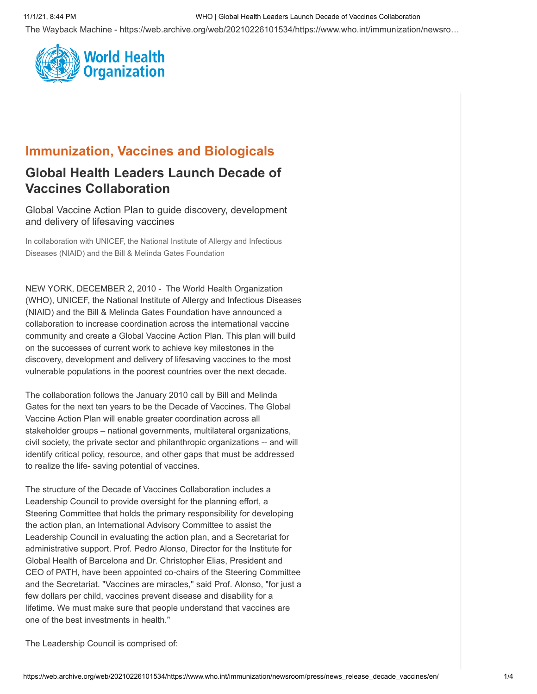# 11/1/21, 8:44 PM WHO | Global Health Leaders Launch Decade of Vaccines Collaboration

The Wayback Machine - https://web.archive.org/web/20210226101534/https://www.who.int/immunization/newsro…



# **Immunization, Vaccines and Biologicals**

# **Global Health Leaders Launch Decade of Vaccines Collaboration**

Global Vaccine Action Plan to guide discovery, development and delivery of lifesaving vaccines

In collaboration with UNICEF, the National Institute of Allergy and Infectious Diseases (NIAID) and the Bill & Melinda Gates Foundation

NEW YORK, DECEMBER 2, 2010 - The World Health Organization (WHO), UNICEF, the National Institute of Allergy and Infectious Diseases (NIAID) and the Bill & Melinda Gates Foundation have announced a collaboration to increase coordination across the international vaccine community and create a Global Vaccine Action Plan. This plan will build on the successes of current work to achieve key milestones in the discovery, development and delivery of lifesaving vaccines to the most vulnerable populations in the poorest countries over the next decade.

The collaboration follows the January 2010 call by Bill and Melinda Gates for the next ten years to be the Decade of Vaccines. The Global Vaccine Action Plan will enable greater coordination across all stakeholder groups – national governments, multilateral organizations, civil society, the private sector and philanthropic organizations -- and will identify critical policy, resource, and other gaps that must be addressed to realize the life- saving potential of vaccines.

The structure of the Decade of Vaccines Collaboration includes a Leadership Council to provide oversight for the planning effort, a Steering Committee that holds the primary responsibility for developing the action plan, an International Advisory Committee to assist the Leadership Council in evaluating the action plan, and a Secretariat for administrative support. Prof. Pedro Alonso, Director for the Institute for Global Health of Barcelona and Dr. Christopher Elias, President and CEO of PATH, have been appointed co-chairs of the Steering Committee and the Secretariat. "Vaccines are miracles," said Prof. Alonso, "for just a few dollars per child, vaccines prevent disease and disability for a lifetime. We must make sure that people understand that vaccines are one of the best investments in health."

The Leadership Council is comprised of: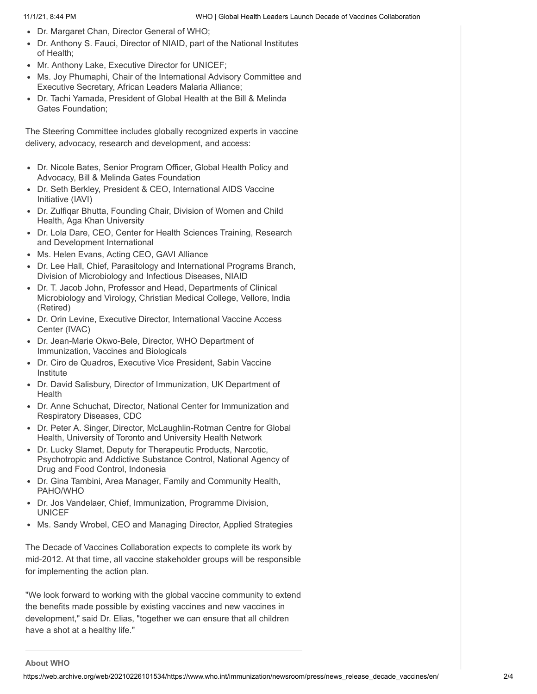- Dr. Margaret Chan, Director General of WHO;
- Dr. Anthony S. Fauci, Director of NIAID, part of the National Institutes of Health;
- Mr. Anthony Lake, Executive Director for UNICEF;
- Ms. Joy Phumaphi, Chair of the International Advisory Committee and Executive Secretary, African Leaders Malaria Alliance;
- Dr. Tachi Yamada, President of Global Health at the Bill & Melinda Gates Foundation;

The Steering Committee includes globally recognized experts in vaccine delivery, advocacy, research and development, and access:

- Dr. Nicole Bates, Senior Program Officer, Global Health Policy and Advocacy, Bill & Melinda Gates Foundation
- Dr. Seth Berkley, President & CEO, International AIDS Vaccine Initiative (IAVI)
- Dr. Zulfiqar Bhutta, Founding Chair, Division of Women and Child Health, Aga Khan University
- Dr. Lola Dare, CEO, Center for Health Sciences Training, Research and Development International
- Ms. Helen Evans, Acting CEO, GAVI Alliance
- Dr. Lee Hall, Chief, Parasitology and International Programs Branch, Division of Microbiology and Infectious Diseases, NIAID
- Dr. T. Jacob John, Professor and Head, Departments of Clinical Microbiology and Virology, Christian Medical College, Vellore, India (Retired)
- Dr. Orin Levine, Executive Director, International Vaccine Access Center (IVAC)
- Dr. Jean-Marie Okwo-Bele, Director, WHO Department of Immunization, Vaccines and Biologicals
- Dr. Ciro de Quadros, Executive Vice President, Sabin Vaccine Institute
- Dr. David Salisbury, Director of Immunization, UK Department of Health
- Dr. Anne Schuchat, Director, National Center for Immunization and  $\bullet$ Respiratory Diseases, CDC
- Dr. Peter A. Singer, Director, McLaughlin-Rotman Centre for Global Health, University of Toronto and University Health Network
- Dr. Lucky Slamet, Deputy for Therapeutic Products, Narcotic, Psychotropic and Addictive Substance Control, National Agency of Drug and Food Control, Indonesia
- Dr. Gina Tambini, Area Manager, Family and Community Health,  $\bullet$ PAHO/WHO
- Dr. Jos Vandelaer, Chief, Immunization, Programme Division, UNICEF
- Ms. Sandy Wrobel, CEO and Managing Director, Applied Strategies

The Decade of Vaccines Collaboration expects to complete its work by mid-2012. At that time, all vaccine stakeholder groups will be responsible for implementing the action plan.

"We look forward to working with the global vaccine community to extend the benefits made possible by existing vaccines and new vaccines in development," said Dr. Elias, "together we can ensure that all children have a shot at a healthy life."

### **About WHO**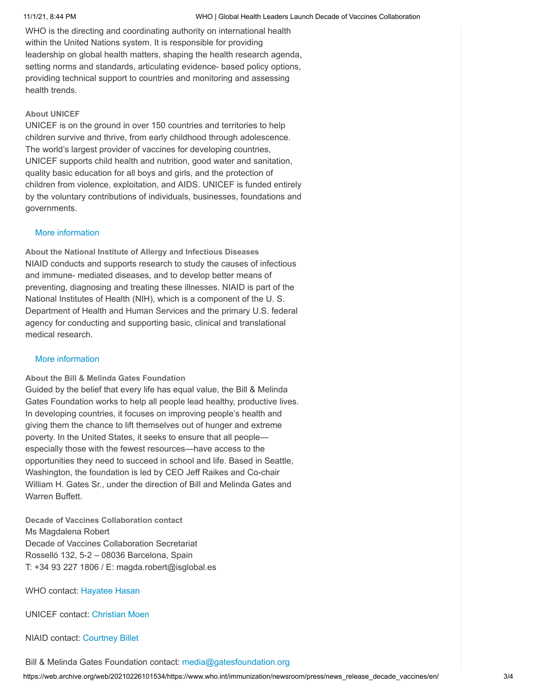WHO is the directing and coordinating authority on international health within the United Nations system. It is responsible for providing leadership on global health matters, shaping the health research agenda, setting norms and standards, articulating evidence- based policy options, providing technical support to countries and monitoring and assessing health trends.

## **About UNICEF**

UNICEF is on the ground in over 150 countries and territories to help children survive and thrive, from early childhood through adolescence. The world's largest provider of vaccines for developing countries, UNICEF supports child health and nutrition, good water and sanitation, quality basic education for all boys and girls, and the protection of children from violence, exploitation, and AIDS. UNICEF is funded entirely by the voluntary contributions of individuals, businesses, foundations and governments.

## [More information](https://web.archive.org/web/20210226101534/https://www.unicef.org/)

**About the National Institute of Allergy and Infectious Diseases** NIAID conducts and supports research to study the causes of infectious and immune- mediated diseases, and to develop better means of preventing, diagnosing and treating these illnesses. NIAID is part of the National Institutes of Health (NIH), which is a component of the U. S. Department of Health and Human Services and the primary U.S. federal agency for conducting and supporting basic, clinical and translational medical research.

### [More information](https://web.archive.org/web/20210226101534/https://www.nih.gov/)

### **About the Bill & Melinda Gates Foundation**

Guided by the belief that every life has equal value, the Bill & Melinda Gates Foundation works to help all people lead healthy, productive lives. In developing countries, it focuses on improving people's health and giving them the chance to lift themselves out of hunger and extreme poverty. In the United States, it seeks to ensure that all people especially those with the fewest resources—have access to the opportunities they need to succeed in school and life. Based in Seattle, Washington, the foundation is led by CEO Jeff Raikes and Co-chair William H. Gates Sr., under the direction of Bill and Melinda Gates and Warren Buffett.

**Decade of Vaccines Collaboration contact** Ms Magdalena Robert Decade of Vaccines Collaboration Secretariat Rosselló 132, 5-2 – 08036 Barcelona, Spain T: +34 93 227 1806 / E: magda.robert@isglobal.es

WHO contact: [Hayatee Hasan](mailto:hasanh@who.int)

UNICEF contact: [Christian Moen](mailto:cmoen@unicef.org)

NIAID contact: [Courtney Billet](mailto:billetc@niaid.nih.gov)

https://web.archive.org/web/20210226101534/https://www.who.int/immunization/newsroom/press/news\_release\_decade\_vaccines/en/ 3/4 Bill & Melinda Gates Foundation contact: [media@gatesfoundation.org](mailto:media@gatesfoundation.org)